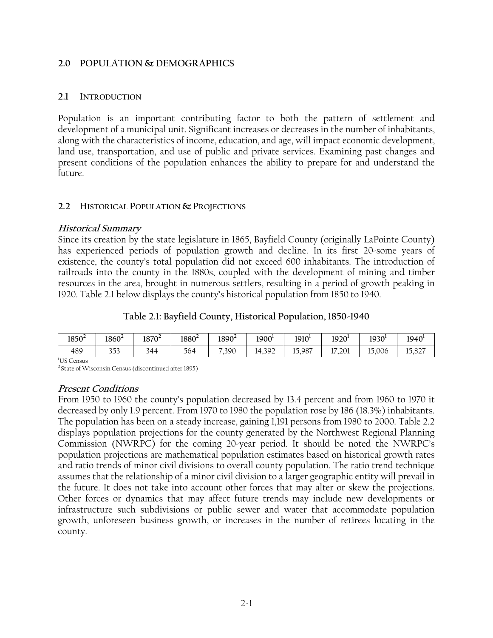### **2.0 POPULATION & DEMOGRAPHICS**

### **2.1 INTRODUCTION**

Population is an important contributing factor to both the pattern of settlement and development of a municipal unit. Significant increases or decreases in the number of inhabitants, along with the characteristics of income, education, and age, will impact economic development, land use, transportation, and use of public and private services. Examining past changes and present conditions of the population enhances the ability to prepare for and understand the future.

### **2.2 HISTORICAL POPULATION & PROJECTIONS**

### **Historical Summary**

Since its creation by the state legislature in 1865, Bayfield County (originally LaPointe County) has experienced periods of population growth and decline. In its first 20-some years of existence, the county's total population did not exceed 600 inhabitants. The introduction of railroads into the county in the 1880s, coupled with the development of mining and timber resources in the area, brought in numerous settlers, resulting in a period of growth peaking in 1920. Table 2.1 below displays the county's historical population from 1850 to 1940.

|  | Table 2.1: Bayfield County, Historical Population, 1850-1940 |  |  |  |
|--|--------------------------------------------------------------|--|--|--|
|--|--------------------------------------------------------------|--|--|--|

| $1850^2$ | $1860^2$          | $1870^2$ | $1880^2$ | $1890^2$                         | $1900^1$ | 1910 <sup>1</sup> | 1920 <sup>1</sup> | $1930^1$ | 1940'                       |
|----------|-------------------|----------|----------|----------------------------------|----------|-------------------|-------------------|----------|-----------------------------|
| 489      | つごつ<br><u>JJJ</u> | 344      | 564      | $\overline{\phantom{a}}$<br>,390 | 4,392    | 15,987            | 17,201            | 15,006   | $\circ \sim$<br>15<br>1,021 |

**1** US Census

**<sup>2</sup>**State of Wisconsin Census (discontinued after 1895)

### **Present Conditions**

From 1950 to 1960 the county's population decreased by 13.4 percent and from 1960 to 1970 it decreased by only 1.9 percent. From 1970 to 1980 the population rose by 186 (18.3%) inhabitants. The population has been on a steady increase, gaining 1,191 persons from 1980 to 2000. Table 2.2 displays population projections for the county generated by the Northwest Regional Planning Commission (NWRPC) for the coming 20-year period. It should be noted the NWRPC's population projections are mathematical population estimates based on historical growth rates and ratio trends of minor civil divisions to overall county population. The ratio trend technique assumes that the relationship of a minor civil division to a larger geographic entity will prevail in the future. It does not take into account other forces that may alter or skew the projections. Other forces or dynamics that may affect future trends may include new developments or infrastructure such subdivisions or public sewer and water that accommodate population growth, unforeseen business growth, or increases in the number of retirees locating in the county.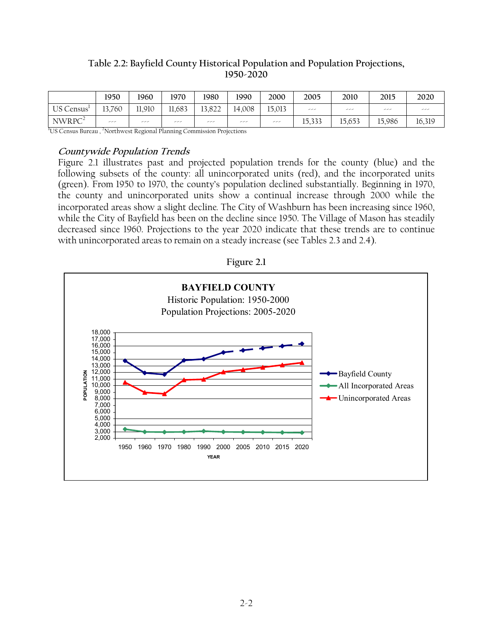# **Table 2.2: Bayfield County Historical Population and Population Projections, 1950-2020**

|                                                   | 1950   | 1960                  | 1970   | 1980   | 1990   | 2000   | 2005   | 2010   | 2015   | 2020   |
|---------------------------------------------------|--------|-----------------------|--------|--------|--------|--------|--------|--------|--------|--------|
| US Census                                         | 13,760 | 11,910                | 11,683 | 13.822 | 14,008 | 15,013 | ---    | سرسر   | سرسر   | ---    |
| NWRPC <sup>2</sup><br>المصاحب والمستحدث<br>$\sim$ | سرسر   | سرسر<br>$\sim$ $\sim$ | سدسه   | ---    | ---    | سرسر   | 15,333 | 15.653 | 15.986 | 16,319 |

<sup>1</sup>US Census Bureau, <sup>2</sup>Northwest Regional Planning Commission Projections

### **Countywide Population Trends**

Figure 2.1 illustrates past and projected population trends for the county (blue) and the following subsets of the county: all unincorporated units (red), and the incorporated units (green). From 1950 to 1970, the county's population declined substantially. Beginning in 1970, the county and unincorporated units show a continual increase through 2000 while the incorporated areas show a slight decline*.* The City of Washburn has been increasing since 1960, while the City of Bayfield has been on the decline since 1950. The Village of Mason has steadily decreased since 1960. Projections to the year 2020 indicate that these trends are to continue with unincorporated areas to remain on a steady increase (see Tables 2.3 and 2.4).

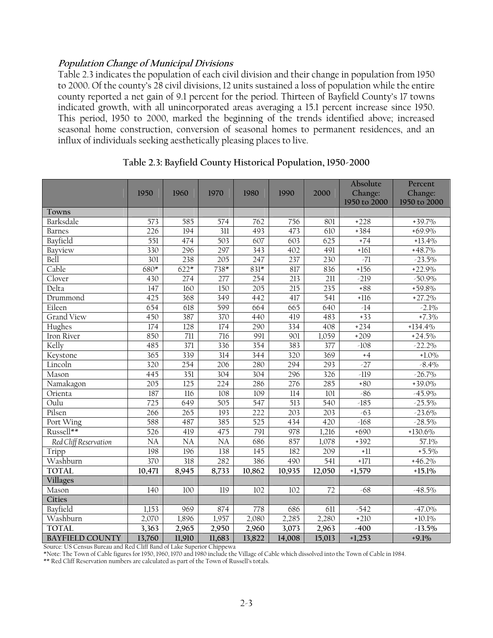## **Population Change of Municipal Divisions**

Table 2.3 indicates the population of each civil division and their change in population from 1950 to 2000. Of the county's 28 civil divisions, 12 units sustained a loss of population while the entire county reported a net gain of 9.1 percent for the period. Thirteen of Bayfield County's 17 towns indicated growth, with all unincorporated areas averaging a 15.1 percent increase since 1950. This period, 1950 to 2000, marked the beginning of the trends identified above; increased seasonal home construction, conversion of seasonal homes to permanent residences, and an influx of individuals seeking aesthetically pleasing places to live.

|                        | 1950             | 1960             | 1970             | 1980             | 1990             | 2000             | Absolute<br>Change:<br>1950 to 2000 | Percent<br>Change:<br>1950 to 2000 |
|------------------------|------------------|------------------|------------------|------------------|------------------|------------------|-------------------------------------|------------------------------------|
| Towns                  |                  |                  |                  |                  |                  |                  |                                     |                                    |
| Barksdale              | 573              | 585              | 574              | 762              | 756              | 801              | $+228$                              | $+39.7\%$                          |
| <b>Barnes</b>          | 226              | 194              | $\overline{311}$ | 493              | 473              | 610              | $+384$                              | $+69.9\%$                          |
| Bayfield               | 551              | 474              | $\overline{503}$ | 607              | 603              | 625              | $+74$                               | $+13.4\%$                          |
| Bayview                | 330              | 296              | 297              | 343              | 402              | 491              | $+161$                              | $+48.7\%$                          |
| Bell                   | 301              | 238              | $\overline{205}$ | 247              | 237              | 230              | $-71$                               | $-23.5\%$                          |
| Cable                  | 680*             | $622*$           | $738*$           | $831*$           | 817              | 836              | $+156$                              | $+22.9%$                           |
| Clover                 | 430              | 274              | 277              | 254              | $\overline{213}$ | $\overline{211}$ | $-219$                              | $-50.9\%$                          |
| Delta                  | $\overline{147}$ | 160              | 150              | $\overline{205}$ | 215              | $\overline{235}$ | $+88$                               | $+59.8\%$                          |
| Drummond               | 425              | 368              | 349              | 442              | 417              | $\overline{541}$ | $+116$                              | $+27.2%$                           |
| Eileen                 | 654              | 618              | 599              | 664              | 665              | 640              | $-14$                               | $-2.1\%$                           |
| <b>Grand View</b>      | 450              | 387              | 370              | 440              | 419              | 483              | $+33$                               | $+7.3\%$                           |
| Hughes                 | $\overline{174}$ | $\overline{128}$ | 174              | 290              | 334              | 408              | $+234$                              | $+134.4\%$                         |
| Iron River             | 850              | $\overline{711}$ | 716              | 991              | 901              | 1,059            | $+209$                              | $+24.5\%$                          |
| Kelly                  | 485              | $\overline{371}$ | 336              | 354              | 383              | 377              | $-108$                              | $-22.2\%$                          |
| Keystone               | 365              | 339              | 314              | 344              | 320              | 369              | $+4$                                | $+1.0\%$                           |
| Lincoln                | 320              | 254              | 206              | 280              | 294              | 293              | $-27$                               | $-8.4\%$                           |
| Mason                  | $\overline{445}$ | 351              | $\overline{304}$ | $\overline{304}$ | 296              | 326              | $-119$                              | $-26.7\%$                          |
| Namakagon              | 205              | 125              | 224              | 286              | 276              | 285              | $+80$                               | $+39.0\%$                          |
| Orienta                | 187              | 116              | 108              | 109              | 114              | 101              | $-86$                               | $-45.9\%$                          |
| Oulu                   | 725              | 649              | $\overline{505}$ | 547              | $\overline{513}$ | $\overline{540}$ | $-185$                              | $-25.5\%$                          |
| Pilsen                 | 266              | 265              | 193              | 222              | 203              | $\overline{203}$ | $-63$                               | $-23.6\%$                          |
| Port Wing              | 588              | 487              | 385              | $\overline{525}$ | 434              | 420              | $-168$                              | $-28.5\%$                          |
| Russell**              | $\overline{526}$ | 419              | 475              | 791              | 978              | 1,216            | $+690$                              | $+130.6\%$                         |
| Red Cliff Reservation  | NA               | NA               | <b>NA</b>        | 686              | 857              | 1,078            | $+392$                              | 57.1%                              |
| Tripp                  | 198              | 196              | 138              | 145              | 182              | 209              | $+11$                               | $+5.5\%$                           |
| Washburn               | 370              | 318              | 282              | 386              | 490              | 541              | $+171$                              | $+46.2\%$                          |
| <b>TOTAL</b>           | 10,471           | 8,945            | 8,733            | 10,862           | 10,935           | 12,050           | $+1,579$                            | $+15.1%$                           |
| Villages               |                  |                  |                  |                  |                  |                  |                                     |                                    |
| Mason                  | 140              | 100              | 119              | 102              | 102              | 72               | $-68$                               | $-48.5\%$                          |
| Cities                 |                  |                  |                  |                  |                  |                  |                                     |                                    |
| Bayfield               | 1,153            | 969              | 874              | 778              | 686              | 611              | $-542$                              | $-47.0\%$                          |
| Washburn               | 2,070            | 1,896            | 1,957            | 2,080            | 2,285            | 2,280            | $+210$                              | $+10.1\%$                          |
| <b>TOTAL</b>           | 3,363            | 2,965            | 2,950            | 2,960            | 3,073            | 2,963            | $-400$                              | $-13.5\%$                          |
| <b>BAYFIELD COUNTY</b> | 13,760           | 11,910           | 11,683           | 13,822           | 14,008           | 15,013           | $+1,253$                            | $+9.1%$                            |

### **Table 2.3: Bayfield County Historical Population, 1950-2000**

Source: US Census Bureau and Red Cliff Band of Lake Superior Chippewa

\*Note: The Town of Cable figures for 1950, 1960, 1970 and 1980 include the Village of Cable which dissolved into the Town of Cable in 1984.

\*\* Red Cliff Reservation numbers are calculated as part of the Town of Russell's totals.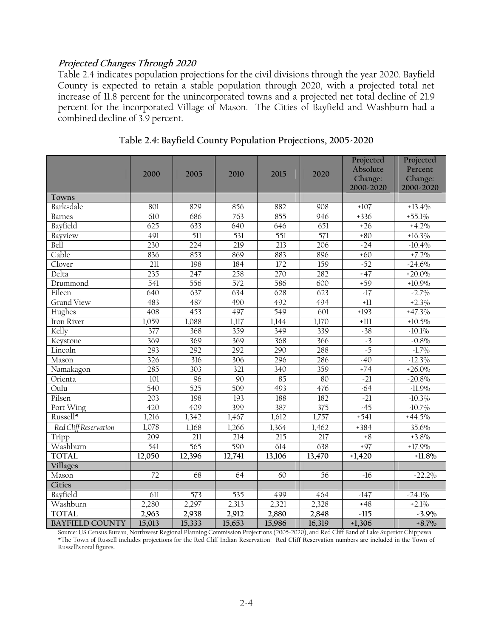### **Projected Changes Through 2020**

Table 2.4 indicates population projections for the civil divisions through the year 2020. Bayfield County is expected to retain a stable population through 2020, with a projected total net increase of 11.8 percent for the unincorporated towns and a projected net total decline of 21.9 percent for the incorporated Village of Mason. The Cities of Bayfield and Washburn had a combined decline of 3.9 percent.

|                        | 2000             | 2005             | 2010             | 2015             | 2020             | Projected<br>Absolute<br>Change:<br>2000-2020 | Projected<br>Percent<br>Change:<br>2000-2020 |
|------------------------|------------------|------------------|------------------|------------------|------------------|-----------------------------------------------|----------------------------------------------|
| Towns                  |                  |                  |                  |                  |                  |                                               |                                              |
| Barksdale              | 801              | 829              | 856              | 882              | 908              | $+107$                                        | $+13.4%$                                     |
| <b>Barnes</b>          | 610              | 686              | 763              | 855              | 946              | $+336$                                        | $+55.1\%$                                    |
| Bayfield               | 625              | 633              | 640              | 646              | 651              | $+26$                                         | $+4.2\%$                                     |
| Bayview                | 491              | $\overline{511}$ | 531              | 551              | 571              | $+80$                                         | $+16.3\%$                                    |
| Bell                   | 230              | $\overline{224}$ | 219              | 213              | 206              | $-24$                                         | $-10.4\%$                                    |
| Cable                  | 836              | 853              | 869              | 883              | 896              | $+60$                                         | $+7.2\%$                                     |
| Clover                 | $\overline{211}$ | 198              | 184              | $\overline{172}$ | 159              | $-52$                                         | $-24.6\%$                                    |
| Delta                  | 235              | 247              | 258              | 270              | 282              | $+47$                                         | $+20.0\%$                                    |
| Drummond               | $\overline{541}$ | 556              | $\overline{572}$ | 586              | 600              | $+59$                                         | $+10.9\%$                                    |
| Eileen                 | 640              | 637              | 634              | 628              | 623              | $-17$                                         | $-2.7\%$                                     |
| <b>Grand View</b>      | 483              | 487              | 490              | 492              | 494              | $+11$                                         | $+2.3\%$                                     |
| Hughes                 | 408              | 453              | 497              | 549              | 601              | $+193$                                        | $+47.3\%$                                    |
| Iron River             | 1,059            | 1,088            | 1,117            | 1,144            | 1,170            | $+111$                                        | $+10.5\%$                                    |
| Kelly                  | 377              | 368              | 359              | 349              | 339              | $-38$                                         | $-10.1\%$                                    |
| Keystone               | 369              | 369              | 369              | 368              | 366              | $-3$                                          | $-0.8\%$                                     |
| Lincoln                | 293              | 292              | 292              | 290              | 288              | $-5$                                          | $-1.7\%$                                     |
| Mason                  | 326              | 316              | 306              | 296              | 286              | $-40$                                         | $-12.3\%$                                    |
| Namakagon              | 285              | 303              | 321              | 340              | 359              | $+74$                                         | $+26.0\%$                                    |
| Orienta                | $\overline{101}$ | 96               | 90               | $\overline{85}$  | 80               | $-21$                                         | $-20.8\%$                                    |
| Oulu                   | 540              | $\overline{525}$ | 509              | 493              | 476              | $-64$                                         | $-11.9\%$                                    |
| Pilsen                 | $\overline{203}$ | 198              | 193              | 188              | 182              | $-21$                                         | $-10.3\%$                                    |
| Port Wing              | $\overline{420}$ | 409              | 399              | 387              | $\overline{375}$ | $-45$                                         | $-10.7\%$                                    |
| Russell*               | 1,216            | 1,342            | 1,467            | 1,612            | 1,757            | $+541$                                        | $+44.5%$                                     |
| Red Cliff Reservation  | 1,078            | 1,168            | 1,266            | 1,364            | 1,462            | $+384$                                        | 35.6%                                        |
| Tripp                  | 209              | 211              | 214              | 215              | 217              | $+8$                                          | $+3.8\%$                                     |
| Washburn               | $\overline{541}$ | 565              | 590              | $\overline{614}$ | 638              | $+97$                                         | $+17.9\%$                                    |
| <b>TOTAL</b>           | 12,050           | 12,396           | 12,741           | 13,106           | 13,470           | $+1,420$                                      | $+11.8\%$                                    |
| Villages               |                  |                  |                  |                  |                  |                                               |                                              |
| Mason                  | 72               | 68               | 64               | 60               | 56               | $-16$                                         | $-22.2\%$                                    |
| Cities                 |                  |                  |                  |                  |                  |                                               |                                              |
| Bayfield               | 611              | 573              | 535              | 499              | 464              | $-147$                                        | $-24.1\%$                                    |
| Washburn               | 2,280            | 2,297            | 2,313            | 2,321            | 2,328            | $+48$                                         | $+2.1%$                                      |
| <b>TOTAL</b>           | 2,963            | 2,938            | 2,912            | 2,880            | 2,848            | $-115$                                        | $-3.9\%$                                     |
| <b>BAYFIELD COUNTY</b> | 15,013           | 15,333           | 15,653           | 15,986           | 16,319           | $+1,306$                                      | $+8.7\%$                                     |

| Table 2.4: Bayfield County Population Projections, 2005-2020 |  |  |  |
|--------------------------------------------------------------|--|--|--|
|--------------------------------------------------------------|--|--|--|

Source: US Census Bureau, Northwest Regional Planning Commission Projections (2005-2020), and Red Cliff Band of Lake Superior Chippewa \*The Town of Russell includes projections for the Red Cliff Indian Reservation. Red Cliff Reservation numbers are included in the Town of Russell's total figures.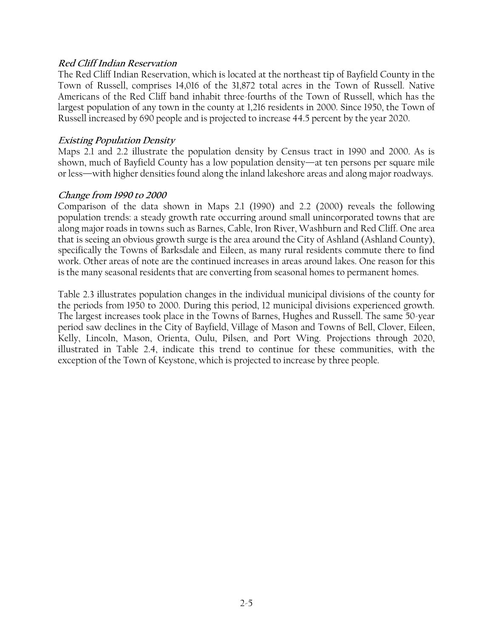### **Red Cliff Indian Reservation**

The Red Cliff Indian Reservation, which is located at the northeast tip of Bayfield County in the Town of Russell, comprises 14,016 of the 31,872 total acres in the Town of Russell. Native Americans of the Red Cliff band inhabit three-fourths of the Town of Russell, which has the largest population of any town in the county at 1,216 residents in 2000. Since 1950, the Town of Russell increased by 690 people and is projected to increase 44.5 percent by the year 2020.

### **Existing Population Density**

Maps 2.1 and 2.2 illustrate the population density by Census tract in 1990 and 2000. As is shown, much of Bayfield County has a low population density—at ten persons per square mile or less—with higher densities found along the inland lakeshore areas and along major roadways.

### **Change from 1990 to 2000**

Comparison of the data shown in Maps 2.1 (1990) and 2.2 (2000) reveals the following population trends: a steady growth rate occurring around small unincorporated towns that are along major roads in towns such as Barnes, Cable, Iron River, Washburn and Red Cliff. One area that is seeing an obvious growth surge is the area around the City of Ashland (Ashland County), specifically the Towns of Barksdale and Eileen, as many rural residents commute there to find work. Other areas of note are the continued increases in areas around lakes. One reason for this is the many seasonal residents that are converting from seasonal homes to permanent homes.

Table 2.3 illustrates population changes in the individual municipal divisions of the county for the periods from 1950 to 2000. During this period, 12 municipal divisions experienced growth. The largest increases took place in the Towns of Barnes, Hughes and Russell. The same 50-year period saw declines in the City of Bayfield, Village of Mason and Towns of Bell, Clover, Eileen, Kelly, Lincoln, Mason, Orienta, Oulu, Pilsen, and Port Wing. Projections through 2020, illustrated in Table 2.4, indicate this trend to continue for these communities, with the exception of the Town of Keystone, which is projected to increase by three people.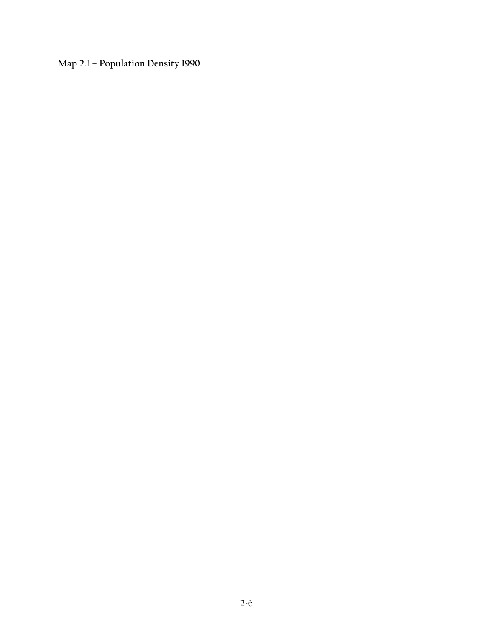**Map 2.1 – Population Density 1990**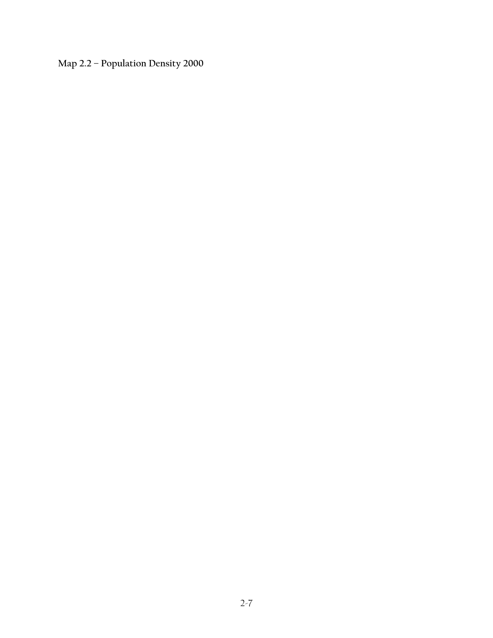**Map 2.2 – Population Density 2000**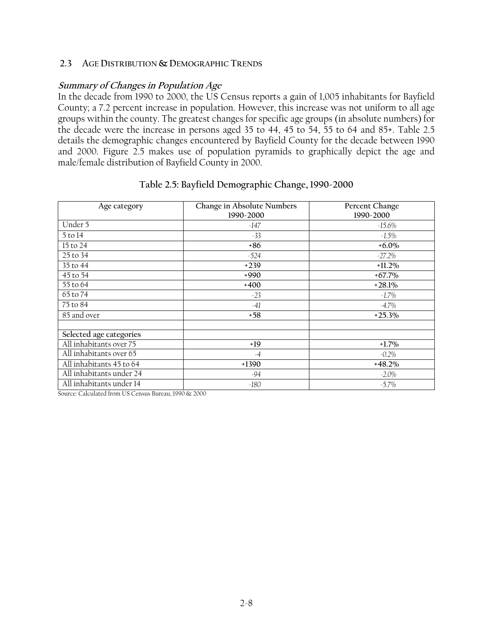#### **2.3 AGE DISTRIBUTION & DEMOGRAPHIC TRENDS**

### **Summary of Changes in Population Age**

In the decade from 1990 to 2000, the US Census reports a gain of 1,005 inhabitants for Bayfield County; a 7.2 percent increase in population. However, this increase was not uniform to all age groups within the county. The greatest changes for specific age groups (in absolute numbers) for the decade were the increase in persons aged 35 to 44, 45 to 54, 55 to 64 and 85+. Table 2.5 details the demographic changes encountered by Bayfield County for the decade between 1990 and 2000. Figure 2.5 makes use of population pyramids to graphically depict the age and male/female distribution of Bayfield County in 2000.

| Age category             | Change in Absolute Numbers<br>1990-2000 | Percent Change<br>1990-2000 |
|--------------------------|-----------------------------------------|-----------------------------|
| Under 5                  | -147                                    | $-15.6\%$                   |
| 5 to 14                  | $-33$                                   | $-1.5\%$                    |
| 15 to 24                 | $+86$                                   | $+6.0\%$                    |
| 25 to 34                 | $-524$                                  | $-27.2\%$                   |
| 35 to 44                 | $+239$                                  | $+11.2\%$                   |
| 45 to 54                 | $+990$                                  | $+67.7\%$                   |
| 55 to 64                 | $+400$                                  | $+28.1%$                    |
| 65 to 74                 | $-23$                                   | $-1.7\%$                    |
| 75 to 84                 | $-41$                                   | $-4.7\%$                    |
| 85 and over              | $+58$                                   | $+25.3%$                    |
|                          |                                         |                             |
| Selected age categories  |                                         |                             |
| All inhabitants over 75  | $+19$                                   | $+1.7\%$                    |
| All inhabitants over 65  | $-4$                                    | $-0.2\%$                    |
| All inhabitants 45 to 64 | $+1390$                                 | $+48.2\%$                   |
| All inhabitants under 24 | -94                                     | $-2.0\%$                    |
| All inhabitants under 14 | $-180$                                  | $-5.7\%$                    |

### **Table 2.5: Bayfield Demographic Change, 1990-2000**

Source: Calculated from US Census Bureau, 1990 & 2000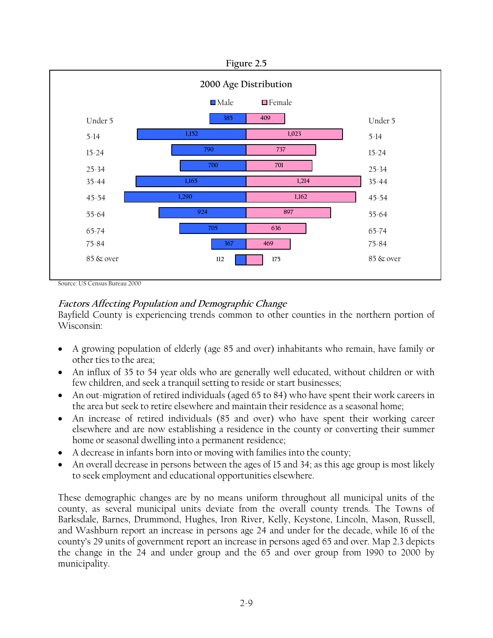

#### Source: US Census Bureau 2000

# **Factors Affecting Population and Demographic Change**

Bayfield County is experiencing trends common to other counties in the northern portion of Wisconsin:

- A growing population of elderly (age 85 and over) inhabitants who remain, have family or other ties to the area;
- An influx of 35 to 54 year olds who are generally well educated, without children or with few children, and seek a tranquil setting to reside or start businesses;
- An out-migration of retired individuals (aged 65 to 84) who have spent their work careers in the area but seek to retire elsewhere and maintain their residence as a seasonal home;
- An increase of retired individuals (85 and over) who have spent their working career elsewhere and are now establishing a residence in the county or converting their summer home or seasonal dwelling into a permanent residence;
- A decrease in infants born into or moving with families into the county;
- An overall decrease in persons between the ages of 15 and 34; as this age group is most likely to seek employment and educational opportunities elsewhere.

These demographic changes are by no means uniform throughout all municipal units of the county, as several municipal units deviate from the overall county trends. The Towns of Barksdale, Barnes, Drummond, Hughes, Iron River, Kelly, Keystone, Lincoln, Mason, Russell, and Washburn report an increase in persons age 24 and under for the decade, while 16 of the county's 29 units of government report an increase in persons aged 65 and over. Map 2.3 depicts the change in the 24 and under group and the 65 and over group from 1990 to 2000 by municipality.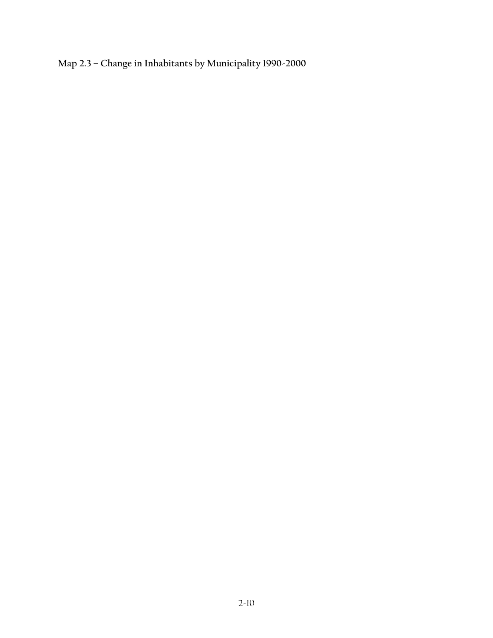**Map 2.3 – Change in Inhabitants by Municipality 1990-2000**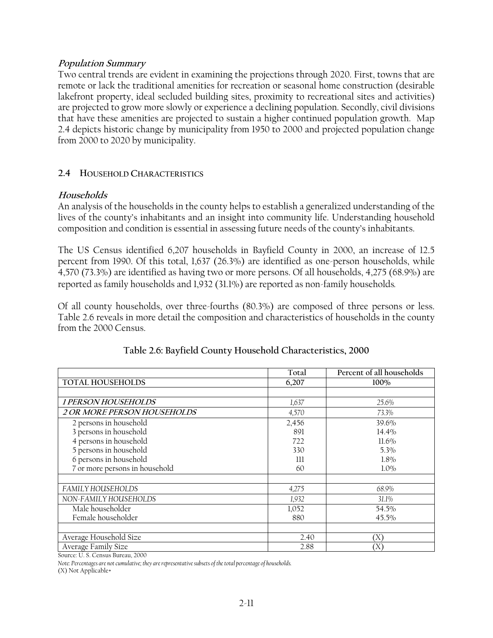### **Population Summary**

Two central trends are evident in examining the projections through 2020. First, towns that are remote or lack the traditional amenities for recreation or seasonal home construction (desirable lakefront property, ideal secluded building sites, proximity to recreational sites and activities) are projected to grow more slowly or experience a declining population. Secondly, civil divisions that have these amenities are projected to sustain a higher continued population growth. Map 2.4 depicts historic change by municipality from 1950 to 2000 and projected population change from 2000 to 2020 by municipality.

# **2.4 HOUSEHOLD CHARACTERISTICS**

### **Households**

An analysis of the households in the county helps to establish a generalized understanding of the lives of the county's inhabitants and an insight into community life. Understanding household composition and condition is essential in assessing future needs of the county's inhabitants.

The US Census identified 6,207 households in Bayfield County in 2000, an increase of 12.5 percent from 1990. Of this total, 1,637 (26.3%) are identified as one-person households, while 4,570 (73.3%) are identified as having two or more persons. Of all households, 4,275 (68.9%) are reported as family households and 1,932 (31.1%) are reported as non-family households*.* 

Of all county households, over three-fourths (80.3%) are composed of three persons or less. Table 2.6 reveals in more detail the composition and characteristics of households in the county from the 2000 Census.

|                                    | Total | Percent of all households |
|------------------------------------|-------|---------------------------|
| <b>TOTAL HOUSEHOLDS</b>            | 6,207 | 100%                      |
|                                    |       |                           |
| <i>1 PERSON HOUSEHOLDS</i>         | 1,637 | 25.6%                     |
| <i>2 OR MORE PERSON HOUSEHOLDS</i> | 4,570 | 73.3%                     |
| 2 persons in household             | 2,456 | 39.6%                     |
| 3 persons in household             | 891   | $14.4\%$                  |
| 4 persons in household             | 722   | $11.6\%$                  |
| 5 persons in household             | 330   | 5.3%                      |
| 6 persons in household             | 111   | $1.8\%$                   |
| 7 or more persons in household     | 60    | $1.0\%$                   |
|                                    |       |                           |
| <b>FAMILY HOUSEHOLDS</b>           | 4,275 | 68.9%                     |
| NON-FAMILY HOUSEHOLDS              | 1,932 | 31.1%                     |
| Male householder                   | 1,052 | 54.5%                     |
| Female householder                 | 880   | 45.5%                     |
|                                    |       |                           |
| Average Household Size             | 2.40  | $(\rm X)$                 |
| Average Family Size                | 2.88  | 'X'                       |

# **Table 2.6: Bayfield County Household Characteristics, 2000**

Source: U. S. Census Bureau, 2000

*Note: Percentages are not cumulative; they are representative subsets of the total percentage of households.* 

(X) Not Applicable+